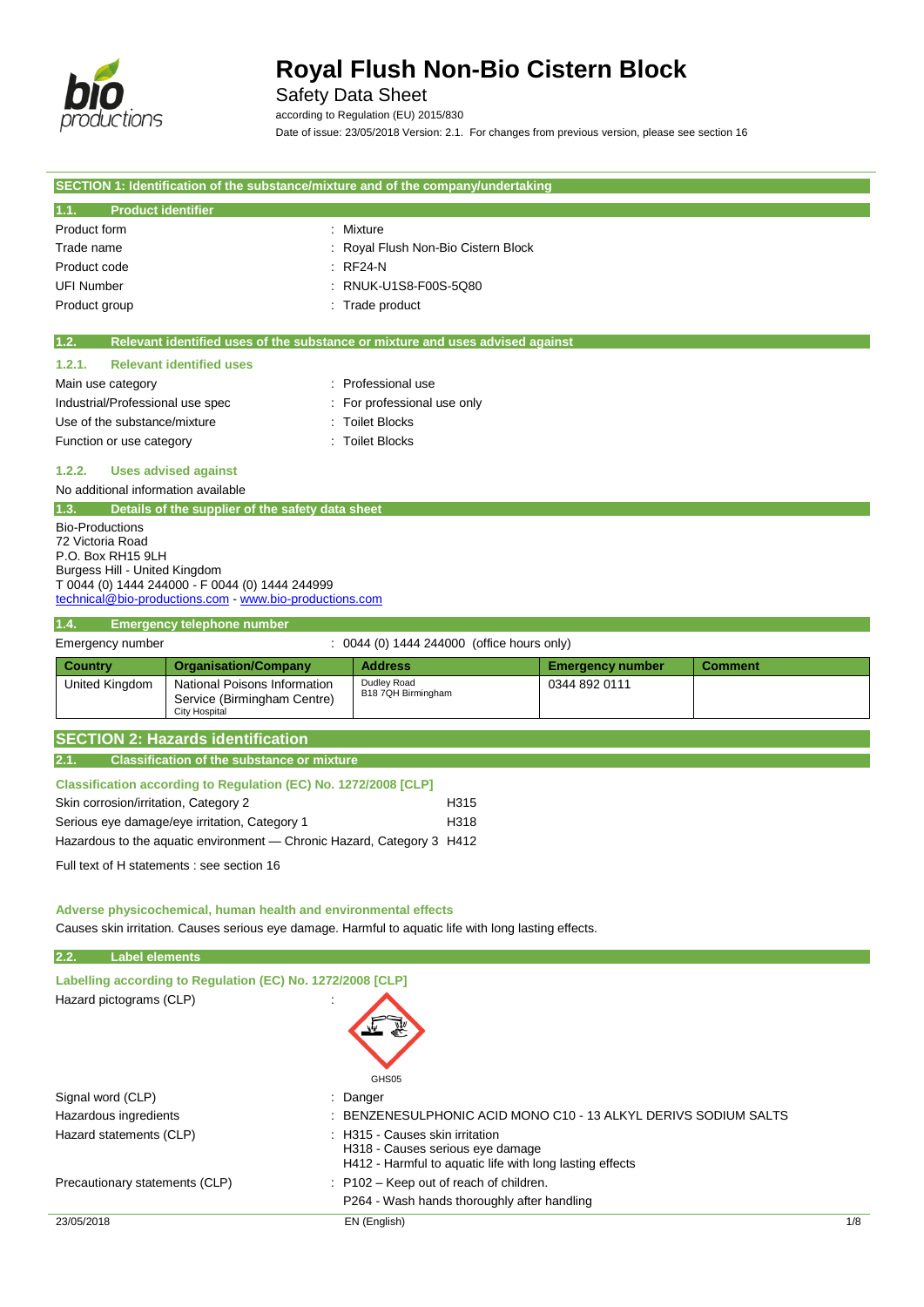

## Safety Data Sheet

according to Regulation (EU) 2015/830 Date of issue: 23/05/2018 Version: 2.1. For changes from previous version, please see section 16

|                                                                                        |                                                                        | SECTION 1: Identification of the substance/mixture and of the company/undertaking                     |                         |                |  |
|----------------------------------------------------------------------------------------|------------------------------------------------------------------------|-------------------------------------------------------------------------------------------------------|-------------------------|----------------|--|
| <b>Product identifier</b><br>1.1.                                                      |                                                                        |                                                                                                       |                         |                |  |
| Product form                                                                           |                                                                        | : Mixture                                                                                             |                         |                |  |
| Trade name                                                                             |                                                                        | Royal Flush Non-Bio Cistern Block                                                                     |                         |                |  |
| Product code                                                                           |                                                                        | <b>RF24-N</b>                                                                                         |                         |                |  |
| <b>UFI Number</b>                                                                      |                                                                        | RNUK-U1S8-F00S-5Q80                                                                                   |                         |                |  |
| Product group                                                                          |                                                                        | : Trade product                                                                                       |                         |                |  |
|                                                                                        |                                                                        |                                                                                                       |                         |                |  |
| 1.2.                                                                                   |                                                                        | Relevant identified uses of the substance or mixture and uses advised against                         |                         |                |  |
| 1.2.1.                                                                                 | <b>Relevant identified uses</b>                                        |                                                                                                       |                         |                |  |
| Main use category                                                                      |                                                                        | Professional use                                                                                      |                         |                |  |
| Industrial/Professional use spec                                                       |                                                                        | For professional use only                                                                             |                         |                |  |
| Use of the substance/mixture                                                           |                                                                        | <b>Toilet Blocks</b>                                                                                  |                         |                |  |
| Function or use category                                                               |                                                                        | <b>Toilet Blocks</b>                                                                                  |                         |                |  |
| 1.2.2.                                                                                 | <b>Uses advised against</b>                                            |                                                                                                       |                         |                |  |
| No additional information available                                                    |                                                                        |                                                                                                       |                         |                |  |
| 1.3.                                                                                   | Details of the supplier of the safety data sheet                       |                                                                                                       |                         |                |  |
| <b>Bio-Productions</b>                                                                 |                                                                        |                                                                                                       |                         |                |  |
| 72 Victoria Road                                                                       |                                                                        |                                                                                                       |                         |                |  |
| P.O. Box RH15 9LH                                                                      |                                                                        |                                                                                                       |                         |                |  |
| Burgess Hill - United Kingdom                                                          | T 0044 (0) 1444 244000 - F 0044 (0) 1444 244999                        |                                                                                                       |                         |                |  |
|                                                                                        | technical@bio-productions.com - www.bio-productions.com                |                                                                                                       |                         |                |  |
| 1.4.                                                                                   | <b>Emergency telephone number</b>                                      |                                                                                                       |                         |                |  |
| Emergency number                                                                       |                                                                        | : 0044 (0) 1444 244000 (office hours only)                                                            |                         |                |  |
| Country                                                                                | <b>Organisation/Company</b>                                            | <b>Address</b>                                                                                        | <b>Emergency number</b> | <b>Comment</b> |  |
| United Kingdom                                                                         | National Poisons Information                                           | Dudley Road                                                                                           | 0344 892 0111           |                |  |
|                                                                                        | Service (Birmingham Centre)                                            | B18 7QH Birmingham                                                                                    |                         |                |  |
|                                                                                        | <b>City Hospital</b>                                                   |                                                                                                       |                         |                |  |
|                                                                                        | <b>SECTION 2: Hazards identification</b>                               |                                                                                                       |                         |                |  |
| 2.1.                                                                                   | <b>Classification of the substance or mixture</b>                      |                                                                                                       |                         |                |  |
|                                                                                        | Classification according to Regulation (EC) No. 1272/2008 [CLP]        |                                                                                                       |                         |                |  |
| Skin corrosion/irritation, Category 2                                                  |                                                                        | H315                                                                                                  |                         |                |  |
|                                                                                        | Serious eye damage/eye irritation, Category 1                          | H318                                                                                                  |                         |                |  |
|                                                                                        | Hazardous to the aquatic environment — Chronic Hazard, Category 3 H412 |                                                                                                       |                         |                |  |
|                                                                                        |                                                                        |                                                                                                       |                         |                |  |
|                                                                                        | Full text of H statements : see section 16                             |                                                                                                       |                         |                |  |
|                                                                                        |                                                                        |                                                                                                       |                         |                |  |
|                                                                                        | Adverse physicochemical, human health and environmental effects        |                                                                                                       |                         |                |  |
|                                                                                        |                                                                        | Causes skin irritation. Causes serious eye damage. Harmful to aquatic life with long lasting effects. |                         |                |  |
| <b>Label elements</b><br>2.2.                                                          |                                                                        |                                                                                                       |                         |                |  |
|                                                                                        | Labelling according to Regulation (EC) No. 1272/2008 [CLP]             |                                                                                                       |                         |                |  |
| Hazard pictograms (CLP)                                                                |                                                                        |                                                                                                       |                         |                |  |
|                                                                                        |                                                                        |                                                                                                       |                         |                |  |
|                                                                                        |                                                                        |                                                                                                       |                         |                |  |
|                                                                                        |                                                                        |                                                                                                       |                         |                |  |
|                                                                                        |                                                                        |                                                                                                       |                         |                |  |
| GHS05                                                                                  |                                                                        |                                                                                                       |                         |                |  |
| Signal word (CLP)                                                                      |                                                                        | Danger                                                                                                |                         |                |  |
| Hazardous ingredients<br>BENZENESULPHONIC ACID MONO C10 - 13 ALKYL DERIVS SODIUM SALTS |                                                                        |                                                                                                       |                         |                |  |
|                                                                                        | Hazard statements (CLP)<br>: H315 - Causes skin irritation             |                                                                                                       |                         |                |  |
|                                                                                        |                                                                        | H318 - Causes serious eye damage<br>H412 - Harmful to aquatic life with long lasting effects          |                         |                |  |

P264 - Wash hands thoroughly after handling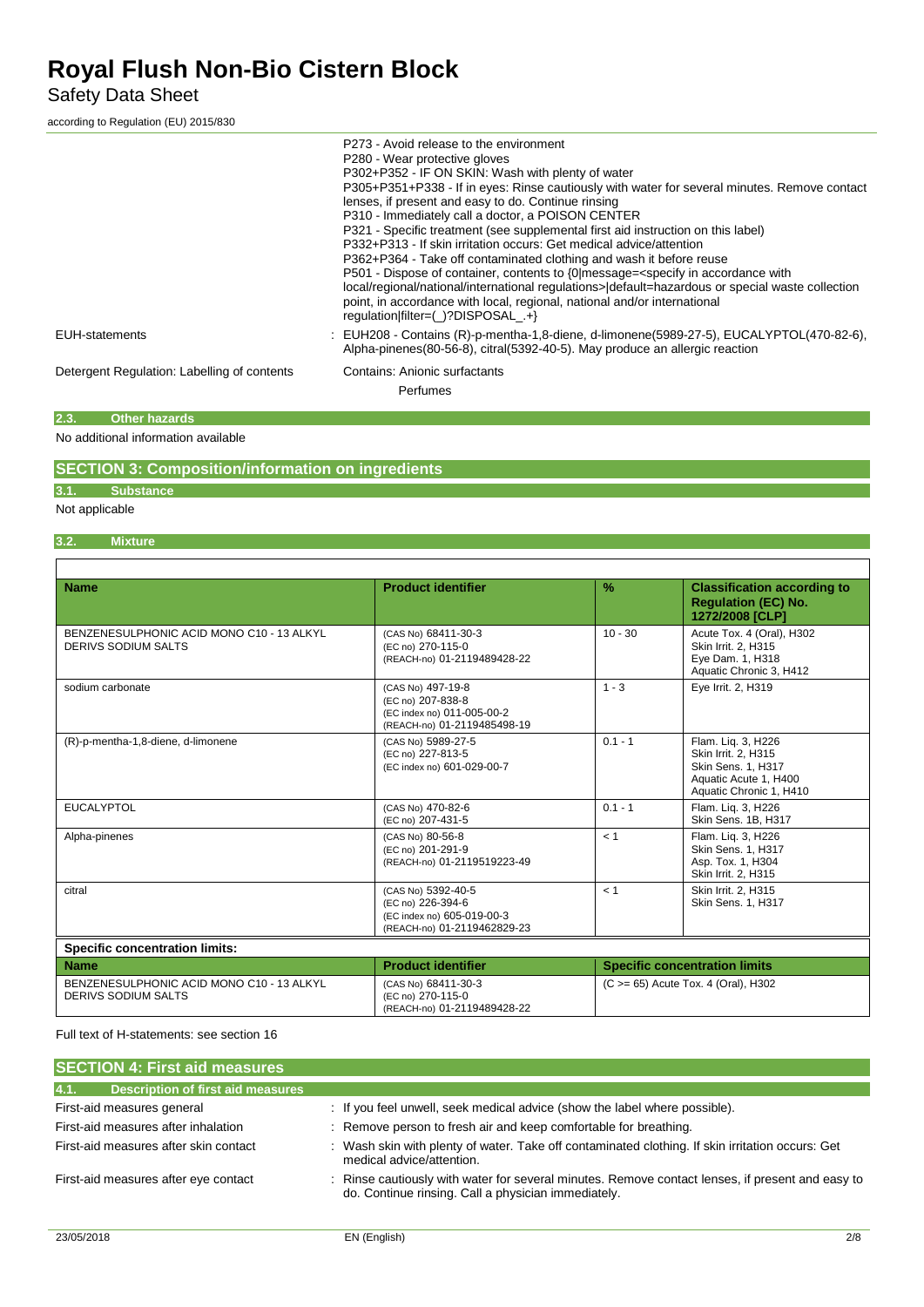Safety Data Sheet

according to Regulation (EU) 2015/830

|                                             | P273 - Avoid release to the environment<br>P280 - Wear protective gloves<br>P302+P352 - IF ON SKIN: Wash with plenty of water<br>P305+P351+P338 - If in eyes: Rinse cautiously with water for several minutes. Remove contact<br>lenses, if present and easy to do. Continue rinsing<br>P310 - Immediately call a doctor, a POISON CENTER<br>P321 - Specific treatment (see supplemental first aid instruction on this label)<br>P332+P313 - If skin irritation occurs: Get medical advice/attention<br>P362+P364 - Take off contaminated clothing and wash it before reuse<br>P501 - Dispose of container, contents to {0 message= <specify accordance="" in="" with<br="">local/regional/national/international regulations&gt; default=hazardous or special waste collection<br/>point, in accordance with local, regional, national and/or international<br/>regulation filter=(_)?DISPOSAL .+}</specify> |
|---------------------------------------------|---------------------------------------------------------------------------------------------------------------------------------------------------------------------------------------------------------------------------------------------------------------------------------------------------------------------------------------------------------------------------------------------------------------------------------------------------------------------------------------------------------------------------------------------------------------------------------------------------------------------------------------------------------------------------------------------------------------------------------------------------------------------------------------------------------------------------------------------------------------------------------------------------------------|
| <b>EUH-statements</b>                       | : EUH208 - Contains (R)-p-mentha-1,8-diene, d-limonene(5989-27-5), EUCALYPTOL(470-82-6),<br>Alpha-pinenes(80-56-8), citral(5392-40-5). May produce an allergic reaction                                                                                                                                                                                                                                                                                                                                                                                                                                                                                                                                                                                                                                                                                                                                       |
| Detergent Regulation: Labelling of contents | Contains: Anionic surfactants<br>Perfumes                                                                                                                                                                                                                                                                                                                                                                                                                                                                                                                                                                                                                                                                                                                                                                                                                                                                     |

**2.3. Other hazards**

No additional information available

### **SECTION 3: Composition/information on ingredients**

**3.1. Substance**

### Not applicable

### **3.2. Mixture**

| <b>Name</b>                                                             | <b>Product identifier</b>                                                                            | $\frac{9}{6}$ | <b>Classification according to</b><br><b>Requlation (EC) No.</b><br>1272/2008 [CLP]                                 |  |  |
|-------------------------------------------------------------------------|------------------------------------------------------------------------------------------------------|---------------|---------------------------------------------------------------------------------------------------------------------|--|--|
| BENZENESULPHONIC ACID MONO C10 - 13 ALKYL<br><b>DERIVS SODIUM SALTS</b> | (CAS No) 68411-30-3<br>(EC no) 270-115-0<br>(REACH-no) 01-2119489428-22                              | $10 - 30$     | Acute Tox. 4 (Oral), H302<br>Skin Irrit. 2, H315<br>Eye Dam. 1, H318<br>Aquatic Chronic 3, H412                     |  |  |
| sodium carbonate                                                        | (CAS No) 497-19-8<br>(EC no) 207-838-8<br>(EC index no) 011-005-00-2<br>(REACH-no) 01-2119485498-19  | $1 - 3$       | Eye Irrit. 2, H319                                                                                                  |  |  |
| (R)-p-mentha-1,8-diene, d-limonene                                      | (CAS No) 5989-27-5<br>(EC no) 227-813-5<br>(EC index no) 601-029-00-7                                | $0.1 - 1$     | Flam. Lig. 3, H226<br>Skin Irrit. 2, H315<br>Skin Sens. 1, H317<br>Aquatic Acute 1, H400<br>Aquatic Chronic 1, H410 |  |  |
| <b>EUCALYPTOL</b>                                                       | (CAS No) 470-82-6<br>(EC no) 207-431-5                                                               | $0.1 - 1$     | Flam. Lig. 3, H226<br>Skin Sens. 1B, H317                                                                           |  |  |
| Alpha-pinenes                                                           | (CAS No) 80-56-8<br>(EC no) 201-291-9<br>(REACH-no) 01-2119519223-49                                 | < 1           | Flam. Liq. 3, H226<br>Skin Sens. 1, H317<br>Asp. Tox. 1, H304<br>Skin Irrit. 2, H315                                |  |  |
| citral                                                                  | (CAS No) 5392-40-5<br>(EC no) 226-394-6<br>(EC index no) 605-019-00-3<br>(REACH-no) 01-2119462829-23 | < 1           | Skin Irrit. 2. H315<br>Skin Sens. 1, H317                                                                           |  |  |
| <b>Specific concentration limits:</b>                                   |                                                                                                      |               |                                                                                                                     |  |  |
| <b>Name</b>                                                             | <b>Product identifier</b>                                                                            |               | <b>Specific concentration limits</b>                                                                                |  |  |
| BENZENESULPHONIC ACID MONO C10 - 13 ALKYL<br><b>DERIVS SODIUM SALTS</b> | (CAS No) 68411-30-3<br>(EC no) 270-115-0<br>(REACH-no) 01-2119489428-22                              |               | (C > = 65) Acute Tox. 4 (Oral), H302                                                                                |  |  |

Full text of H-statements: see section 16

| <b>SECTION 4: First aid measures</b>             |                                                                                                                                                       |
|--------------------------------------------------|-------------------------------------------------------------------------------------------------------------------------------------------------------|
| 4.1.<br><b>Description of first aid measures</b> |                                                                                                                                                       |
| First-aid measures general                       | : If you feel unwell, seek medical advice (show the label where possible).                                                                            |
| First-aid measures after inhalation              | : Remove person to fresh air and keep comfortable for breathing.                                                                                      |
| First-aid measures after skin contact            | : Wash skin with plenty of water. Take off contaminated clothing. If skin irritation occurs: Get<br>medical advice/attention.                         |
| First-aid measures after eye contact             | Rinse cautiously with water for several minutes. Remove contact lenses, if present and easy to<br>do. Continue rinsing. Call a physician immediately. |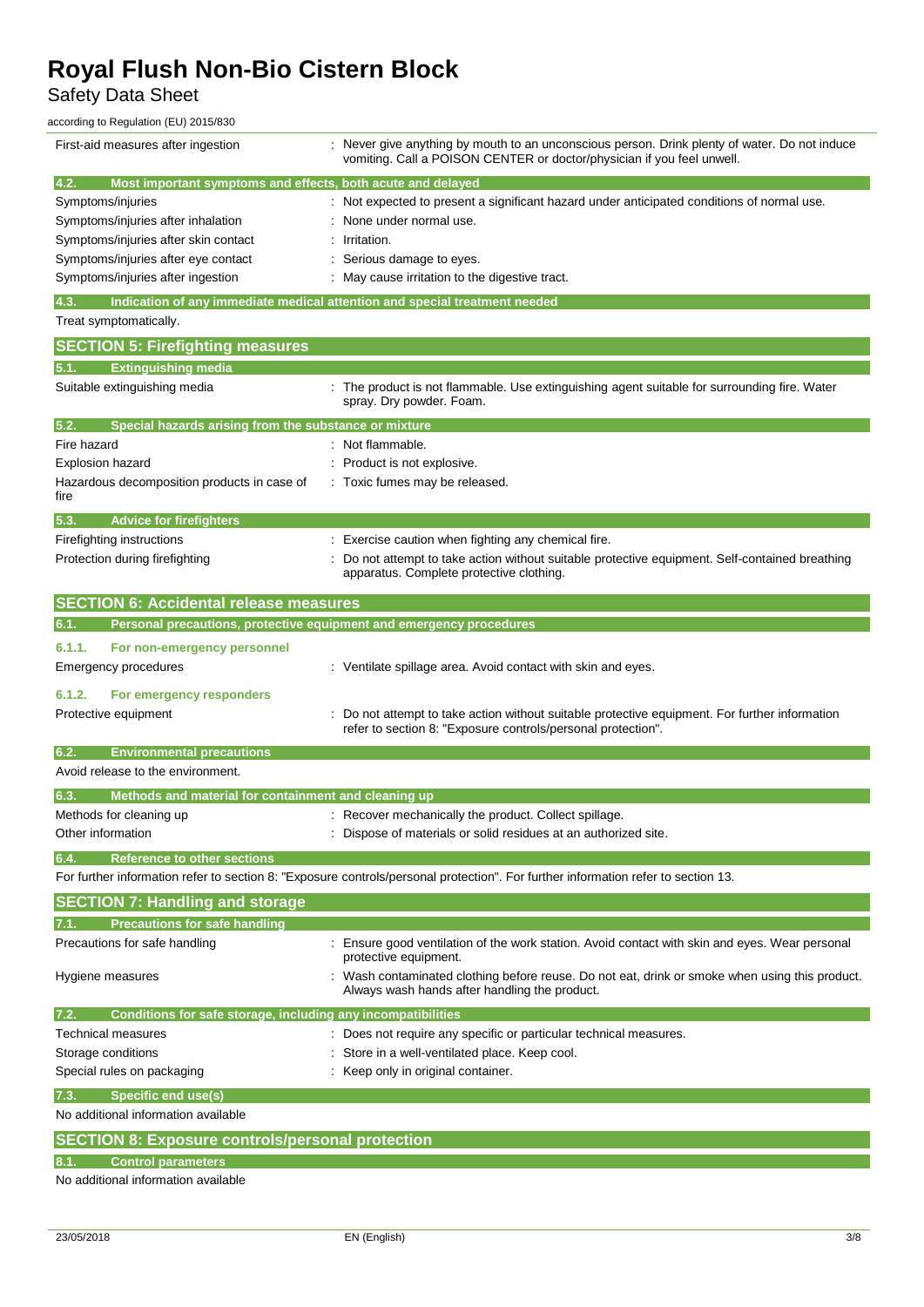Safety Data Sheet

according to Regulation (EU) 2015/830

| First-aid measures after ingestion                                                 | : Never give anything by mouth to an unconscious person. Drink plenty of water. Do not induce<br>vomiting. Call a POISON CENTER or doctor/physician if you feel unwell. |
|------------------------------------------------------------------------------------|-------------------------------------------------------------------------------------------------------------------------------------------------------------------------|
| 4.2.<br>Most important symptoms and effects, both acute and delayed                |                                                                                                                                                                         |
| Symptoms/injuries                                                                  | Not expected to present a significant hazard under anticipated conditions of normal use.                                                                                |
| Symptoms/injuries after inhalation                                                 | None under normal use.                                                                                                                                                  |
| Symptoms/injuries after skin contact                                               | Irritation.                                                                                                                                                             |
| Symptoms/injuries after eye contact                                                | Serious damage to eyes.                                                                                                                                                 |
| Symptoms/injuries after ingestion                                                  | May cause irritation to the digestive tract.                                                                                                                            |
|                                                                                    |                                                                                                                                                                         |
| Indication of any immediate medical attention and special treatment needed<br>4.3. |                                                                                                                                                                         |
| Treat symptomatically.                                                             |                                                                                                                                                                         |
| <b>SECTION 5: Firefighting measures</b>                                            |                                                                                                                                                                         |
| <b>Extinguishing media</b><br>5.1.                                                 |                                                                                                                                                                         |
| Suitable extinguishing media                                                       | : The product is not flammable. Use extinguishing agent suitable for surrounding fire. Water<br>spray. Dry powder. Foam.                                                |
| Special hazards arising from the substance or mixture<br>5.2.                      |                                                                                                                                                                         |
| Fire hazard                                                                        | Not flammable.                                                                                                                                                          |
| <b>Explosion hazard</b>                                                            | Product is not explosive.                                                                                                                                               |
| Hazardous decomposition products in case of                                        | Toxic fumes may be released.                                                                                                                                            |
| fire                                                                               |                                                                                                                                                                         |
| 5.3.<br><b>Advice for firefighters</b>                                             |                                                                                                                                                                         |
| Firefighting instructions                                                          | : Exercise caution when fighting any chemical fire.                                                                                                                     |
| Protection during firefighting                                                     | Do not attempt to take action without suitable protective equipment. Self-contained breathing                                                                           |
|                                                                                    | apparatus. Complete protective clothing.                                                                                                                                |
| <b>SECTION 6: Accidental release measures</b>                                      |                                                                                                                                                                         |
| Personal precautions, protective equipment and emergency procedures<br>6.1.        |                                                                                                                                                                         |
|                                                                                    |                                                                                                                                                                         |
| 6.1.1.<br>For non-emergency personnel                                              |                                                                                                                                                                         |
| Emergency procedures                                                               | : Ventilate spillage area. Avoid contact with skin and eyes.                                                                                                            |
| 6.1.2.<br>For emergency responders                                                 |                                                                                                                                                                         |
| Protective equipment                                                               | Do not attempt to take action without suitable protective equipment. For further information                                                                            |
|                                                                                    | refer to section 8: "Exposure controls/personal protection".                                                                                                            |
| 6.2.<br><b>Environmental precautions</b>                                           |                                                                                                                                                                         |
| Avoid release to the environment.                                                  |                                                                                                                                                                         |
|                                                                                    |                                                                                                                                                                         |
| Methods and material for containment and cleaning up<br>6.3.                       |                                                                                                                                                                         |
| Methods for cleaning up                                                            | : Recover mechanically the product. Collect spillage.                                                                                                                   |
| Other information                                                                  | : Dispose of materials or solid residues at an authorized site.                                                                                                         |
| <b>Reference to other sections</b><br>6.4.                                         |                                                                                                                                                                         |
|                                                                                    | For further information refer to section 8: "Exposure controls/personal protection". For further information refer to section 13.                                       |
| <b>SECTION 7: Handling and storage</b>                                             |                                                                                                                                                                         |
| <b>Precautions for safe handling</b>                                               |                                                                                                                                                                         |
| Precautions for safe handling                                                      | Ensure good ventilation of the work station. Avoid contact with skin and eyes. Wear personal<br>protective equipment.                                                   |
| Hygiene measures                                                                   | : Wash contaminated clothing before reuse. Do not eat, drink or smoke when using this product.<br>Always wash hands after handling the product.                         |
|                                                                                    |                                                                                                                                                                         |
| Conditions for safe storage, including any incompatibilities<br>7.2.               |                                                                                                                                                                         |
| Technical measures                                                                 | : Does not require any specific or particular technical measures.                                                                                                       |
| Storage conditions                                                                 | Store in a well-ventilated place. Keep cool.                                                                                                                            |
| Special rules on packaging                                                         | Keep only in original container.                                                                                                                                        |
| <b>Specific end use(s)</b><br>7.3.                                                 |                                                                                                                                                                         |
| No additional information available                                                |                                                                                                                                                                         |
| <b>SECTION 8: Exposure controls/personal protection</b>                            |                                                                                                                                                                         |
| <b>Control parameters</b><br>8.1.                                                  |                                                                                                                                                                         |
| No additional information available                                                |                                                                                                                                                                         |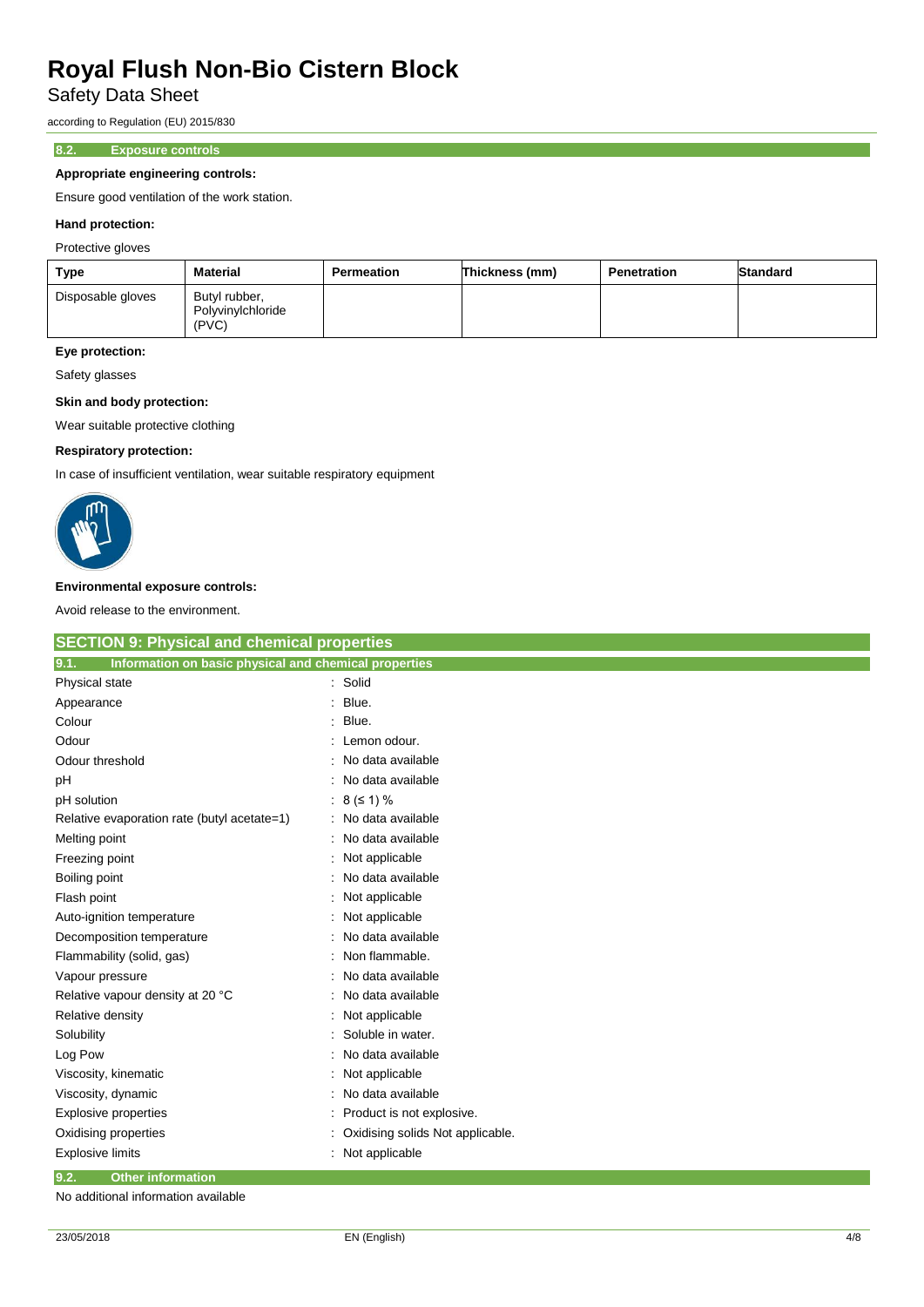Safety Data Sheet

according to Regulation (EU) 2015/830

### **8.2. Exposure controls**

### **Appropriate engineering controls:**

Ensure good ventilation of the work station.

### **Hand protection:**

Protective gloves

| Type              | <b>Material</b>                             | <b>Permeation</b> | Thickness (mm) | <b>Penetration</b> | <b>Standard</b> |
|-------------------|---------------------------------------------|-------------------|----------------|--------------------|-----------------|
| Disposable gloves | Butyl rubber,<br>Polyvinylchloride<br>(PVC) |                   |                |                    |                 |

## **Eye protection:**

Safety glasses

### **Skin and body protection:**

Wear suitable protective clothing

### **Respiratory protection:**

In case of insufficient ventilation, wear suitable respiratory equipment



#### **Environmental exposure controls:**

Avoid release to the environment.

| <b>SECTION 9: Physical and chemical properties</b>            |                                  |
|---------------------------------------------------------------|----------------------------------|
| Information on basic physical and chemical properties<br>9.1. |                                  |
| Physical state                                                | : Solid                          |
| Appearance                                                    | Blue.                            |
| Colour                                                        | Blue.                            |
| Odour                                                         | Lemon odour.                     |
| Odour threshold                                               | No data available                |
| pH                                                            | No data available                |
| pH solution                                                   | $8 (51) \%$                      |
| Relative evaporation rate (butyl acetate=1)                   | No data available                |
| Melting point                                                 | No data available                |
| Freezing point                                                | Not applicable                   |
| Boiling point                                                 | No data available                |
| Flash point                                                   | Not applicable                   |
| Auto-ignition temperature                                     | Not applicable                   |
| Decomposition temperature                                     | No data available                |
| Flammability (solid, gas)                                     | Non flammable.                   |
| Vapour pressure                                               | No data available                |
| Relative vapour density at 20 °C                              | No data available                |
| Relative density                                              | Not applicable                   |
| Solubility                                                    | Soluble in water.                |
| Log Pow                                                       | No data available                |
| Viscosity, kinematic                                          | Not applicable                   |
| Viscosity, dynamic                                            | No data available                |
| <b>Explosive properties</b>                                   | Product is not explosive.        |
| Oxidising properties                                          | Oxidising solids Not applicable. |
| <b>Explosive limits</b>                                       | Not applicable                   |
| 9.2.<br><b>Other information</b>                              |                                  |

No additional information available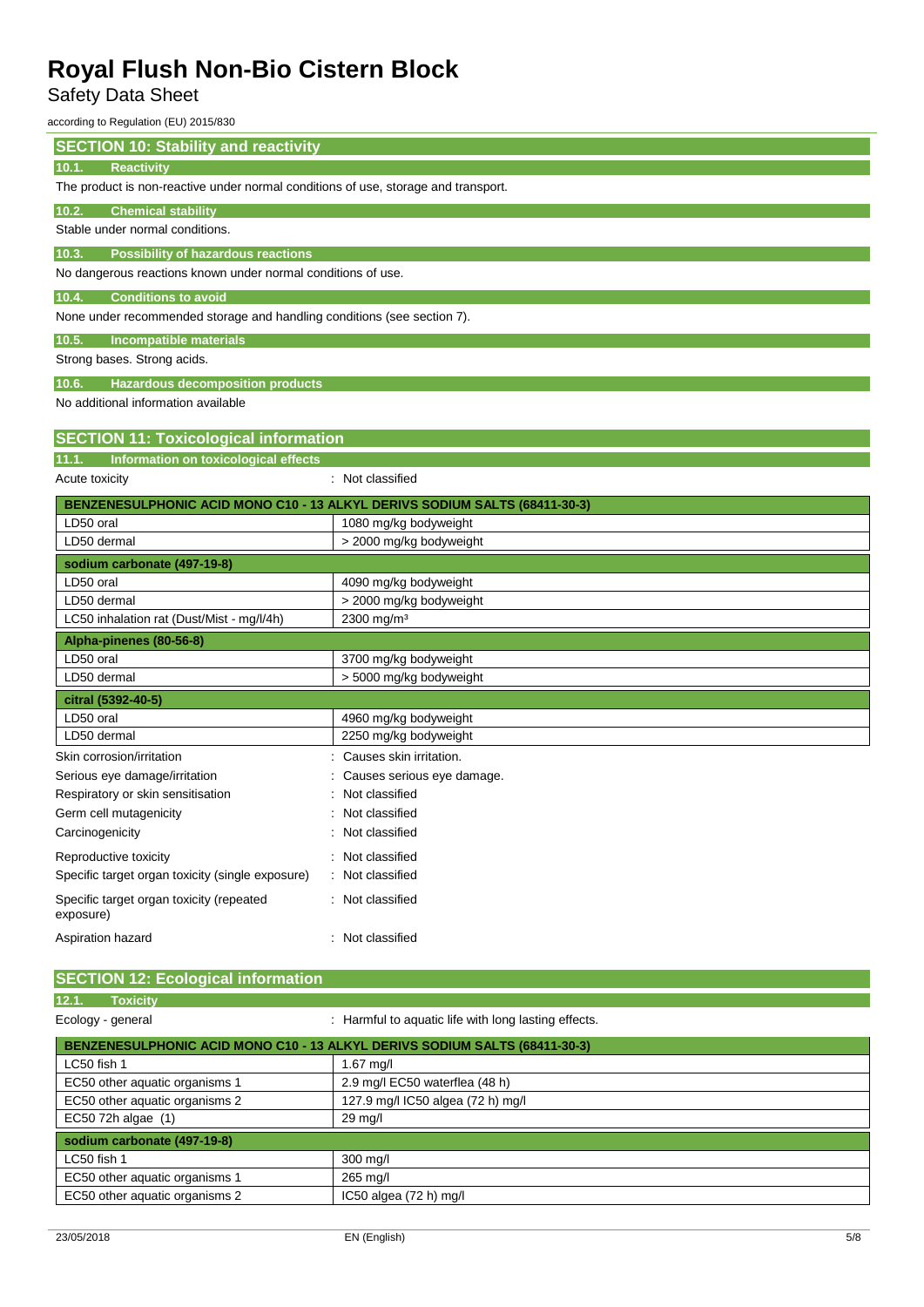## Safety Data Sheet

according to Regulation (EU) 2015/830

| <b>SECTION 10: Stability and reactivity</b>                                |                                                                                    |  |  |  |  |
|----------------------------------------------------------------------------|------------------------------------------------------------------------------------|--|--|--|--|
| Reactivity<br>10.1.                                                        |                                                                                    |  |  |  |  |
|                                                                            | The product is non-reactive under normal conditions of use, storage and transport. |  |  |  |  |
| 10.2.<br><b>Chemical stability</b>                                         |                                                                                    |  |  |  |  |
| Stable under normal conditions.                                            |                                                                                    |  |  |  |  |
| 10.3.<br><b>Possibility of hazardous reactions</b>                         |                                                                                    |  |  |  |  |
| No dangerous reactions known under normal conditions of use.               |                                                                                    |  |  |  |  |
| <b>Conditions to avoid</b><br>10.4.                                        |                                                                                    |  |  |  |  |
| None under recommended storage and handling conditions (see section 7).    |                                                                                    |  |  |  |  |
| 10.5.<br><b>Incompatible materials</b>                                     |                                                                                    |  |  |  |  |
| Strong bases. Strong acids.                                                |                                                                                    |  |  |  |  |
| 10.6.<br><b>Hazardous decomposition products</b>                           |                                                                                    |  |  |  |  |
| No additional information available                                        |                                                                                    |  |  |  |  |
| <b>SECTION 11: Toxicological information</b>                               |                                                                                    |  |  |  |  |
| Information on toxicological effects<br>11.1.                              |                                                                                    |  |  |  |  |
| Acute toxicity                                                             | : Not classified                                                                   |  |  |  |  |
| BENZENESULPHONIC ACID MONO C10 - 13 ALKYL DERIVS SODIUM SALTS (68411-30-3) |                                                                                    |  |  |  |  |
| LD50 oral                                                                  | 1080 mg/kg bodyweight                                                              |  |  |  |  |
| LD50 dermal                                                                | > 2000 mg/kg bodyweight                                                            |  |  |  |  |
| sodium carbonate (497-19-8)                                                |                                                                                    |  |  |  |  |
| LD50 oral                                                                  | 4090 mg/kg bodyweight                                                              |  |  |  |  |
| LD50 dermal                                                                | > 2000 mg/kg bodyweight                                                            |  |  |  |  |
| LC50 inhalation rat (Dust/Mist - mg/l/4h)<br>2300 mg/m <sup>3</sup>        |                                                                                    |  |  |  |  |
| Alpha-pinenes (80-56-8)                                                    |                                                                                    |  |  |  |  |
| LD50 oral                                                                  | 3700 mg/kg bodyweight                                                              |  |  |  |  |
| LD50 dermal                                                                | > 5000 mg/kg bodyweight                                                            |  |  |  |  |
| citral (5392-40-5)                                                         |                                                                                    |  |  |  |  |
| LD50 oral                                                                  | 4960 mg/kg bodyweight                                                              |  |  |  |  |
| LD50 dermal                                                                | 2250 mg/kg bodyweight                                                              |  |  |  |  |
| Skin corrosion/irritation                                                  | Causes skin irritation.                                                            |  |  |  |  |
| Serious eye damage/irritation                                              | Causes serious eye damage.                                                         |  |  |  |  |
| Respiratory or skin sensitisation                                          | Not classified                                                                     |  |  |  |  |
| Germ cell mutagenicity                                                     | Not classified                                                                     |  |  |  |  |
| Carcinogenicity                                                            | : Not classified                                                                   |  |  |  |  |
| Reproductive toxicity                                                      | : Not classified                                                                   |  |  |  |  |
| Specific target organ toxicity (single exposure)                           | Not classified                                                                     |  |  |  |  |
| Specific target organ toxicity (repeated<br>exposure)                      | : Not classified                                                                   |  |  |  |  |
| Aspiration hazard                                                          | : Not classified                                                                   |  |  |  |  |

| <b>SECTION 12: Ecological information</b>                                  |                                                      |  |  |  |
|----------------------------------------------------------------------------|------------------------------------------------------|--|--|--|
| 12.1.<br><b>Toxicity</b>                                                   |                                                      |  |  |  |
| Ecology - general                                                          | : Harmful to aquatic life with long lasting effects. |  |  |  |
| BENZENESULPHONIC ACID MONO C10 - 13 ALKYL DERIVS SODIUM SALTS (68411-30-3) |                                                      |  |  |  |
| LC50 fish 1                                                                | $1.67$ mg/l                                          |  |  |  |
| EC50 other aquatic organisms 1                                             | 2.9 mg/l EC50 waterflea (48 h)                       |  |  |  |
| EC50 other aquatic organisms 2                                             | 127.9 mg/l IC50 algea (72 h) mg/l                    |  |  |  |
| EC50 72h algae (1)<br>$29 \text{ mg/l}$                                    |                                                      |  |  |  |
| sodium carbonate (497-19-8)                                                |                                                      |  |  |  |
| LC50 fish 1                                                                | 300 mg/l                                             |  |  |  |
| EC50 other aquatic organisms 1                                             | 265 mg/l                                             |  |  |  |
| EC50 other aquatic organisms 2<br>IC50 algea $(72 h)$ mg/l                 |                                                      |  |  |  |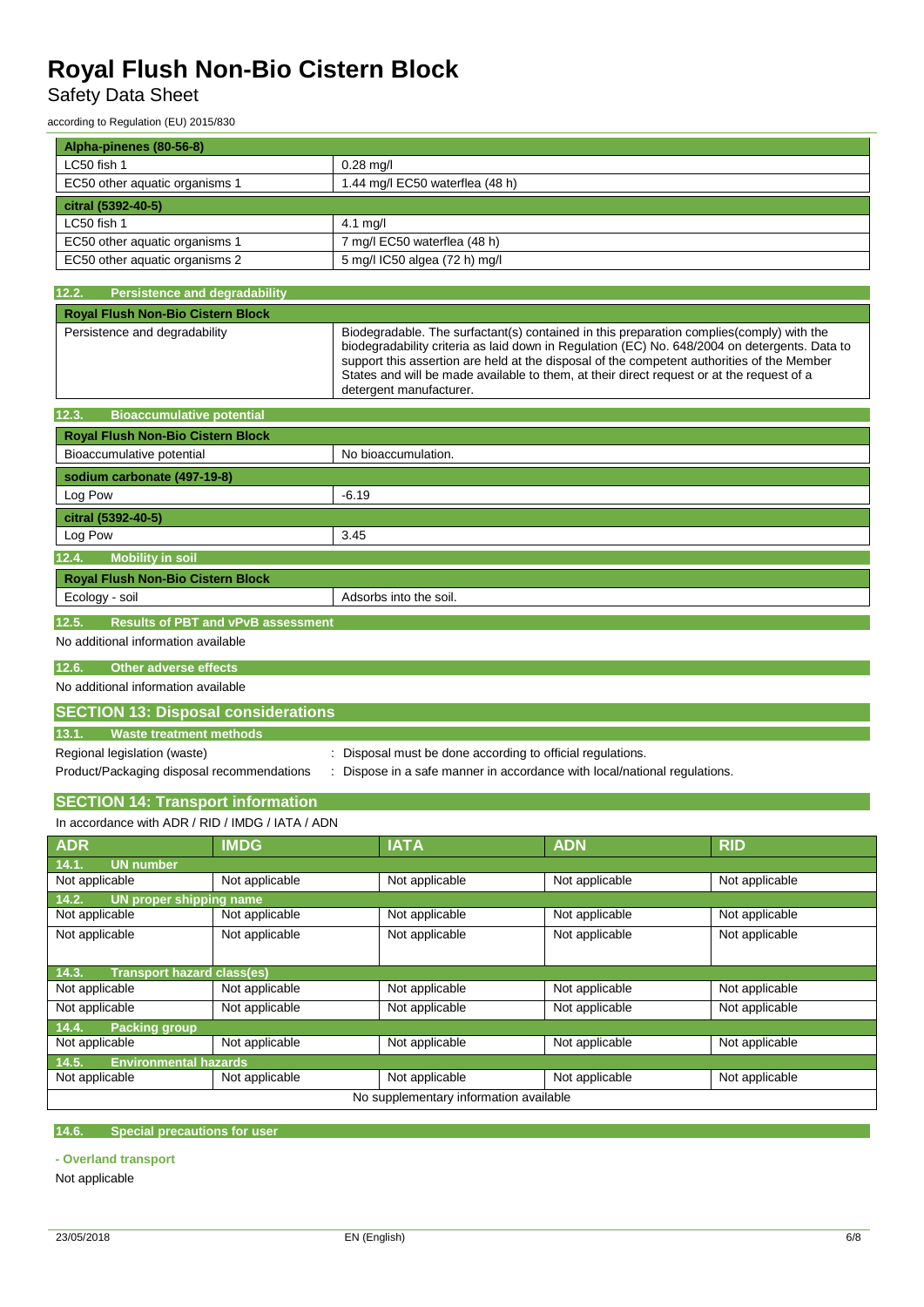Safety Data Sheet

according to Regulation (EU) 2015/830

| Alpha-pinenes (80-56-8)        |                                 |
|--------------------------------|---------------------------------|
| LC50 fish 1                    | $0.28$ mg/l                     |
| EC50 other aguatic organisms 1 | 1.44 mg/l EC50 waterflea (48 h) |
| citral (5392-40-5)             |                                 |
| LC50 fish 1                    | $4.1$ mg/l                      |
| EC50 other aquatic organisms 1 | 7 mg/l EC50 waterflea (48 h)    |
| EC50 other aquatic organisms 2 | 5 mg/l IC50 algea (72 h) mg/l   |

| 12.2.                                            | <b>Persistence and degradability</b>                                 |       |                                                                                                                                                                                                                                                                                                                                                                                                                 |                |                |  |
|--------------------------------------------------|----------------------------------------------------------------------|-------|-----------------------------------------------------------------------------------------------------------------------------------------------------------------------------------------------------------------------------------------------------------------------------------------------------------------------------------------------------------------------------------------------------------------|----------------|----------------|--|
| <b>Royal Flush Non-Bio Cistern Block</b>         |                                                                      |       |                                                                                                                                                                                                                                                                                                                                                                                                                 |                |                |  |
| Persistence and degradability                    |                                                                      |       | Biodegradable. The surfactant(s) contained in this preparation complies(comply) with the<br>biodegradability criteria as laid down in Regulation (EC) No. 648/2004 on detergents. Data to<br>support this assertion are held at the disposal of the competent authorities of the Member<br>States and will be made available to them, at their direct request or at the request of a<br>detergent manufacturer. |                |                |  |
| 12.3.<br><b>Bioaccumulative potential</b>        |                                                                      |       |                                                                                                                                                                                                                                                                                                                                                                                                                 |                |                |  |
| Royal Flush Non-Bio Cistern Block                |                                                                      |       |                                                                                                                                                                                                                                                                                                                                                                                                                 |                |                |  |
| Bioaccumulative potential                        |                                                                      |       | No bioaccumulation.                                                                                                                                                                                                                                                                                                                                                                                             |                |                |  |
| sodium carbonate (497-19-8)                      |                                                                      |       |                                                                                                                                                                                                                                                                                                                                                                                                                 |                |                |  |
| Log Pow                                          |                                                                      | -6.19 |                                                                                                                                                                                                                                                                                                                                                                                                                 |                |                |  |
| citral (5392-40-5)                               |                                                                      |       |                                                                                                                                                                                                                                                                                                                                                                                                                 |                |                |  |
| Log Pow                                          |                                                                      | 3.45  |                                                                                                                                                                                                                                                                                                                                                                                                                 |                |                |  |
| <b>Mobility in soil</b><br>12.4.                 |                                                                      |       |                                                                                                                                                                                                                                                                                                                                                                                                                 |                |                |  |
| Royal Flush Non-Bio Cistern Block                |                                                                      |       |                                                                                                                                                                                                                                                                                                                                                                                                                 |                |                |  |
| Ecology - soil                                   |                                                                      |       | Adsorbs into the soil.                                                                                                                                                                                                                                                                                                                                                                                          |                |                |  |
| 12.5.                                            | <b>Results of PBT and vPvB assessment</b>                            |       |                                                                                                                                                                                                                                                                                                                                                                                                                 |                |                |  |
| No additional information available              |                                                                      |       |                                                                                                                                                                                                                                                                                                                                                                                                                 |                |                |  |
|                                                  |                                                                      |       |                                                                                                                                                                                                                                                                                                                                                                                                                 |                |                |  |
| <b>Other adverse effects</b><br>12.6.            |                                                                      |       |                                                                                                                                                                                                                                                                                                                                                                                                                 |                |                |  |
| No additional information available              |                                                                      |       |                                                                                                                                                                                                                                                                                                                                                                                                                 |                |                |  |
| <b>SECTION 13: Disposal considerations</b>       |                                                                      |       |                                                                                                                                                                                                                                                                                                                                                                                                                 |                |                |  |
| 13.1.<br><b>Waste treatment methods</b>          |                                                                      |       |                                                                                                                                                                                                                                                                                                                                                                                                                 |                |                |  |
| Regional legislation (waste)                     |                                                                      |       | Disposal must be done according to official regulations.                                                                                                                                                                                                                                                                                                                                                        |                |                |  |
| Product/Packaging disposal recommendations       |                                                                      |       | Dispose in a safe manner in accordance with local/national regulations.                                                                                                                                                                                                                                                                                                                                         |                |                |  |
| <b>SECTION 14: Transport information</b>         |                                                                      |       |                                                                                                                                                                                                                                                                                                                                                                                                                 |                |                |  |
| In accordance with ADR / RID / IMDG / IATA / ADN |                                                                      |       |                                                                                                                                                                                                                                                                                                                                                                                                                 |                |                |  |
| <b>ADR</b>                                       | <b>IMDG</b>                                                          |       | <b>IATA</b>                                                                                                                                                                                                                                                                                                                                                                                                     | <b>ADN</b>     | <b>RID</b>     |  |
| <b>UN number</b><br>14.1.                        |                                                                      |       |                                                                                                                                                                                                                                                                                                                                                                                                                 |                |                |  |
| Not applicable                                   | Not applicable                                                       |       | Not applicable                                                                                                                                                                                                                                                                                                                                                                                                  | Not applicable | Not applicable |  |
| 14.2.<br><b>UN proper shipping name</b>          |                                                                      |       |                                                                                                                                                                                                                                                                                                                                                                                                                 |                |                |  |
| Not applicable                                   | Not applicable                                                       |       | Not applicable                                                                                                                                                                                                                                                                                                                                                                                                  | Not applicable | Not applicable |  |
| Not applicable                                   | Not applicable                                                       |       | Not applicable                                                                                                                                                                                                                                                                                                                                                                                                  | Not applicable | Not applicable |  |
|                                                  |                                                                      |       |                                                                                                                                                                                                                                                                                                                                                                                                                 |                |                |  |
| 14.3.<br><b>Transport hazard class(es)</b>       |                                                                      |       |                                                                                                                                                                                                                                                                                                                                                                                                                 |                |                |  |
| Not applicable                                   | Not applicable                                                       |       | Not applicable                                                                                                                                                                                                                                                                                                                                                                                                  | Not applicable | Not applicable |  |
| Not applicable                                   | Not applicable                                                       |       | Not applicable                                                                                                                                                                                                                                                                                                                                                                                                  | Not applicable | Not applicable |  |
| 14.4.<br><b>Packing group</b><br>Not applicable  | Not applicable                                                       |       | Not applicable                                                                                                                                                                                                                                                                                                                                                                                                  | Not applicable | Not applicable |  |
| 14.5.<br><b>Environmental hazards</b>            |                                                                      |       |                                                                                                                                                                                                                                                                                                                                                                                                                 |                |                |  |
| Not applicable                                   | Not applicable<br>Not applicable<br>Not applicable<br>Not applicable |       |                                                                                                                                                                                                                                                                                                                                                                                                                 |                |                |  |
|                                                  |                                                                      |       | No supplementary information available                                                                                                                                                                                                                                                                                                                                                                          |                |                |  |

**14.6. Special precautions for user**

**- Overland transport**

Not applicable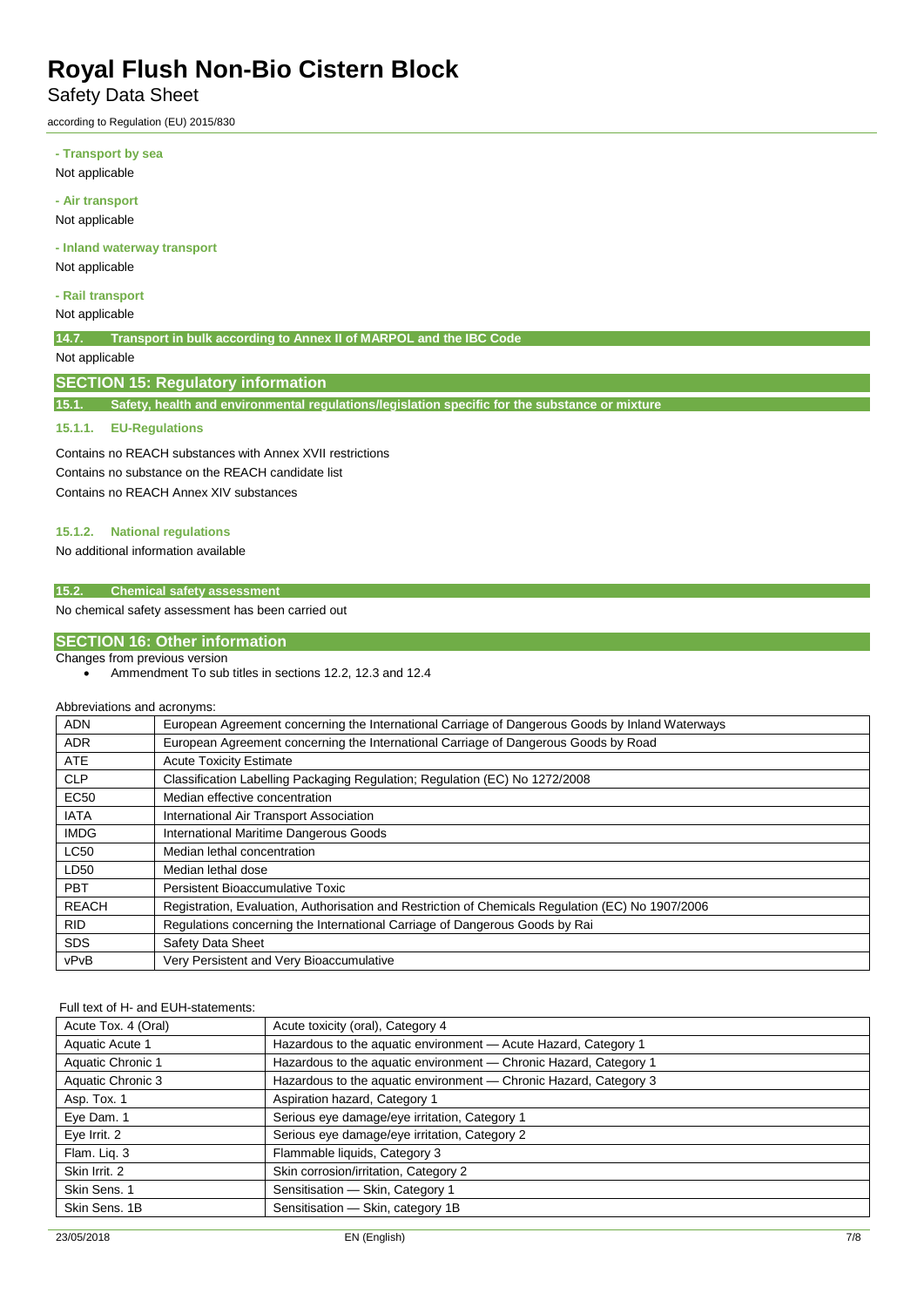Safety Data Sheet

according to Regulation (EU) 2015/830

**- Transport by sea** Not applicable

**- Air transport**

Not applicable

**- Inland waterway transport**

Not applicable

**- Rail transport** Not applicable

**14.7. Transport in bulk according to Annex II of MARPOL and the IBC Code**

Not applicable

### **SECTION 15: Regulatory information**

**15.1. Safety, health and environmental regulations/legislation specific for the substance or mixture**

### **15.1.1. EU-Regulations**

Contains no REACH substances with Annex XVII restrictions Contains no substance on the REACH candidate list Contains no REACH Annex XIV substances

#### **15.1.2. National regulations**

No additional information available

### **15.2. Chemical safety assessment**

No chemical safety assessment has been carried out

### **SECTION 16: Other information**

### Changes from previous version

• Ammendment To sub titles in sections 12.2, 12.3 and 12.4

#### Abbreviations and acronyms:

| <b>ADN</b>   | European Agreement concerning the International Carriage of Dangerous Goods by Inland Waterways   |
|--------------|---------------------------------------------------------------------------------------------------|
| <b>ADR</b>   | European Agreement concerning the International Carriage of Dangerous Goods by Road               |
| <b>ATE</b>   | <b>Acute Toxicity Estimate</b>                                                                    |
| <b>CLP</b>   | Classification Labelling Packaging Regulation; Regulation (EC) No 1272/2008                       |
| <b>EC50</b>  | Median effective concentration                                                                    |
| <b>IATA</b>  | International Air Transport Association                                                           |
| <b>IMDG</b>  | International Maritime Dangerous Goods                                                            |
| <b>LC50</b>  | Median lethal concentration                                                                       |
| LD50         | Median lethal dose                                                                                |
| <b>PBT</b>   | <b>Persistent Bioaccumulative Toxic</b>                                                           |
| <b>REACH</b> | Registration, Evaluation, Authorisation and Restriction of Chemicals Regulation (EC) No 1907/2006 |
| <b>RID</b>   | Regulations concerning the International Carriage of Dangerous Goods by Rai                       |
| <b>SDS</b>   | Safety Data Sheet                                                                                 |
| vPvB         | Very Persistent and Very Bioaccumulative                                                          |

#### Full text of H- and EUH-statements:

| Acute Tox. 4 (Oral) | Acute toxicity (oral), Category 4                                 |
|---------------------|-------------------------------------------------------------------|
| Aquatic Acute 1     | Hazardous to the aquatic environment - Acute Hazard, Category 1   |
| Aquatic Chronic 1   | Hazardous to the aquatic environment - Chronic Hazard, Category 1 |
| Aquatic Chronic 3   | Hazardous to the aquatic environment - Chronic Hazard, Category 3 |
| Asp. Tox. 1         | Aspiration hazard, Category 1                                     |
| Eye Dam. 1          | Serious eye damage/eye irritation, Category 1                     |
| Eye Irrit. 2        | Serious eye damage/eye irritation, Category 2                     |
| Flam. Lig. 3        | Flammable liquids, Category 3                                     |
| Skin Irrit. 2       | Skin corrosion/irritation, Category 2                             |
| Skin Sens. 1        | Sensitisation - Skin, Category 1                                  |
| Skin Sens, 1B       | Sensitisation - Skin, category 1B                                 |